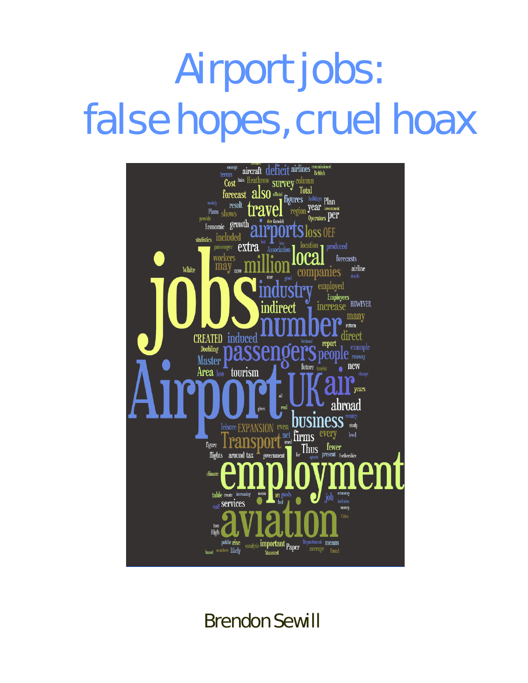# **Airport jobs: false hopes, cruel hoax** Airport jobs: false hopes, cruel hoax



Brendon Sewill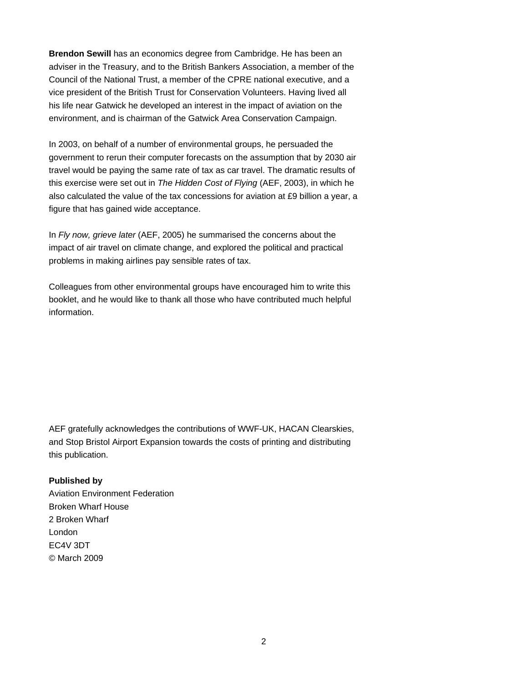**Brendon Sewill** has an economics degree from Cambridge. He has been an adviser in the Treasury, and to the British Bankers Association, a member of the Council of the National Trust, a member of the CPRE national executive, and a vice president of the British Trust for Conservation Volunteers. Having lived all his life near Gatwick he developed an interest in the impact of aviation on the environment, and is chairman of the Gatwick Area Conservation Campaign.

In 2003, on behalf of a number of environmental groups, he persuaded the government to rerun their computer forecasts on the assumption that by 2030 air travel would be paying the same rate of tax as car travel. The dramatic results of this exercise were set out in *The Hidden Cost of Flying* (AEF, 2003), in which he also calculated the value of the tax concessions for aviation at £9 billion a year, a figure that has gained wide acceptance.

In *Fly now, grieve later* (AEF, 2005) he summarised the concerns about the impact of air travel on climate change, and explored the political and practical problems in making airlines pay sensible rates of tax.

Colleagues from other environmental groups have encouraged him to write this booklet, and he would like to thank all those who have contributed much helpful information.

AEF gratefully acknowledges the contributions of WWF-UK, HACAN Clearskies, and Stop Bristol Airport Expansion towards the costs of printing and distributing this publication.

#### **Published by**

Aviation Environment Federation Broken Wharf House 2 Broken Wharf London EC4V 3DT © March 2009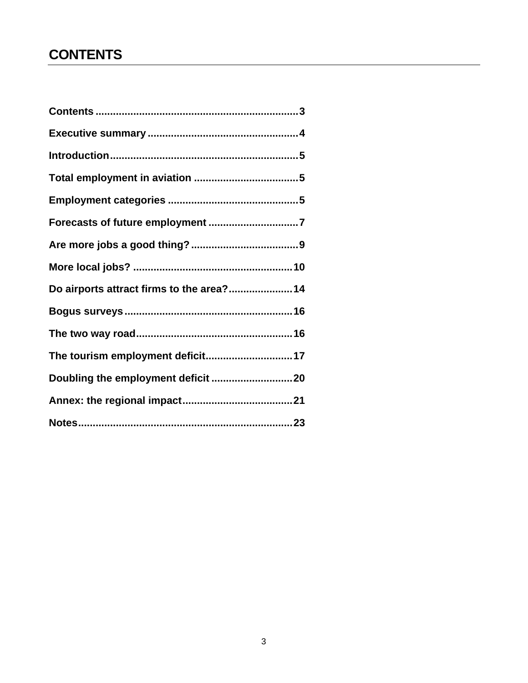# <span id="page-2-0"></span>**CONTENTS**

| Do airports attract firms to the area?14 |
|------------------------------------------|
|                                          |
|                                          |
|                                          |
|                                          |
|                                          |
|                                          |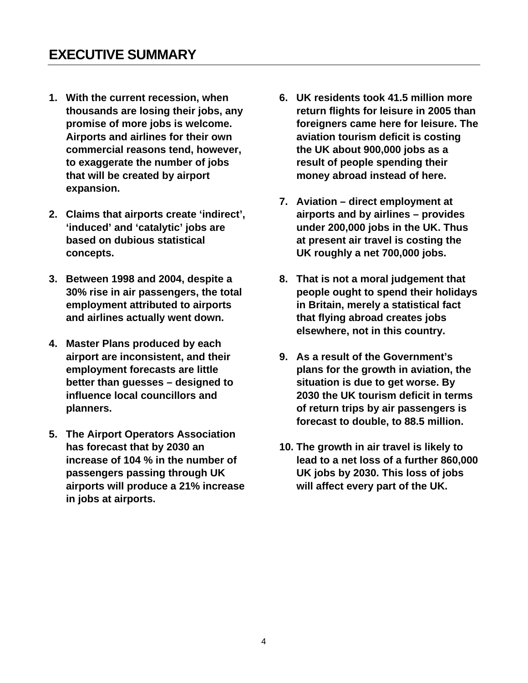- <span id="page-3-0"></span>**1. With the current recession, when thousands are losing their jobs, any promise of more jobs is welcome. Airports and airlines for their own commercial reasons tend, however, to exaggerate the number of jobs that will be created by airport expansion.**
- **2. Claims that airports create 'indirect', 'induced' and 'catalytic' jobs are based on dubious statistical concepts.**
- **3. Between 1998 and 2004, despite a 30% rise in air passengers, the total employment attributed to airports and airlines actually went down.**
- **4. Master Plans produced by each airport are inconsistent, and their employment forecasts are little better than guesses – designed to influence local councillors and planners.**
- **5. The Airport Operators Association has forecast that by 2030 an increase of 104 % in the number of passengers passing through UK airports will produce a 21% increase in jobs at airports.**
- **6. UK residents took 41.5 million more return flights for leisure in 2005 than foreigners came here for leisure. The aviation tourism deficit is costing the UK about 900,000 jobs as a result of people spending their money abroad instead of here.**
- **7. Aviation direct employment at airports and by airlines – provides under 200,000 jobs in the UK. Thus at present air travel is costing the UK roughly a net 700,000 jobs.**
- **8. That is not a moral judgement that people ought to spend their holidays in Britain, merely a statistical fact that flying abroad creates jobs elsewhere, not in this country.**
- **9. As a result of the Government's plans for the growth in aviation, the situation is due to get worse. By 2030 the UK tourism deficit in terms of return trips by air passengers is forecast to double, to 88.5 million.**
- **10. The growth in air travel is likely to lead to a net loss of a further 860,000 UK jobs by 2030. This loss of jobs will affect every part of the UK.**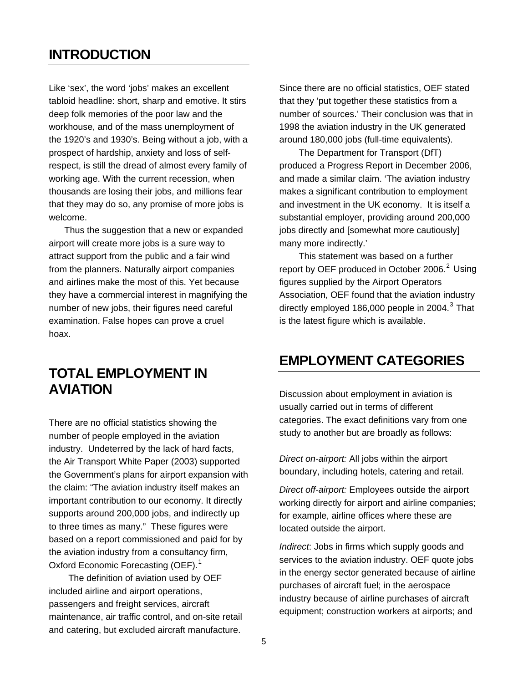### <span id="page-4-0"></span>**INTRODUCTION**

Like 'sex', the word 'jobs' makes an excellent tabloid headline: short, sharp and emotive. It stirs deep folk memories of the poor law and the workhouse, and of the mass unemployment of the 1920's and 1930's. Being without a job, with a prospect of hardship, anxiety and loss of selfrespect, is still the dread of almost every family of working age. With the current recession, when thousands are losing their jobs, and millions fear that they may do so, any promise of more jobs is welcome.

Thus the suggestion that a new or expanded airport will create more jobs is a sure way to attract support from the public and a fair wind from the planners. Naturally airport companies and airlines make the most of this. Yet because they have a commercial interest in magnifying the number of new jobs, their figures need careful examination. False hopes can prove a cruel hoax.

### **TOTAL EMPLOYMENT IN AVIATION**

There are no official statistics showing the number of people employed in the aviation industry. Undeterred by the lack of hard facts, the Air Transport White Paper (2003) supported the Government's plans for airport expansion with the claim: "The aviation industry itself makes an important contribution to our economy. It directly supports around 200,000 jobs, and indirectly up to three times as many." These figures were based on a report commissioned and paid for by the aviation industry from a consultancy firm, Oxford Economic Forecasting (OEF).<sup>[1](#page-22-1)</sup>

The definition of aviation used by OEF included airline and airport operations, passengers and freight services, aircraft maintenance, air traffic control, and on-site retail and catering, but excluded aircraft manufacture.

Since there are no official statistics, OEF stated that they 'put together these statistics from a number of sources.' Their conclusion was that in 1998 the aviation industry in the UK generated around 180,000 jobs (full-time equivalents).

The Department for Transport (DfT) produced a Progress Report in December 2006, and made a similar claim. 'The aviation industry makes a significant contribution to employment and investment in the UK economy. It is itself a substantial employer, providing around 200,000 jobs directly and [somewhat more cautiously] many more indirectly.'

This statement was based on a further report by OEF produced in October  $2006.<sup>2</sup>$  $2006.<sup>2</sup>$  Using figures supplied by the Airport Operators Association, OEF found that the aviation industry directly employed 186,000 people in 2004. $^3$  $^3$  That is the latest figure which is available.

### **EMPLOYMENT CATEGORIES**

Discussion about employment in aviation is usually carried out in terms of different categories. The exact definitions vary from one study to another but are broadly as follows:

*Direct on-airport:* All jobs within the airport boundary, including hotels, catering and retail.

*Direct off-airport:* Employees outside the airport working directly for airport and airline companies; for example, airline offices where these are located outside the airport.

*Indirect*: Jobs in firms which supply goods and services to the aviation industry. OEF quote jobs in the energy sector generated because of airline purchases of aircraft fuel; in the aerospace industry because of airline purchases of aircraft equipment; construction workers at airports; and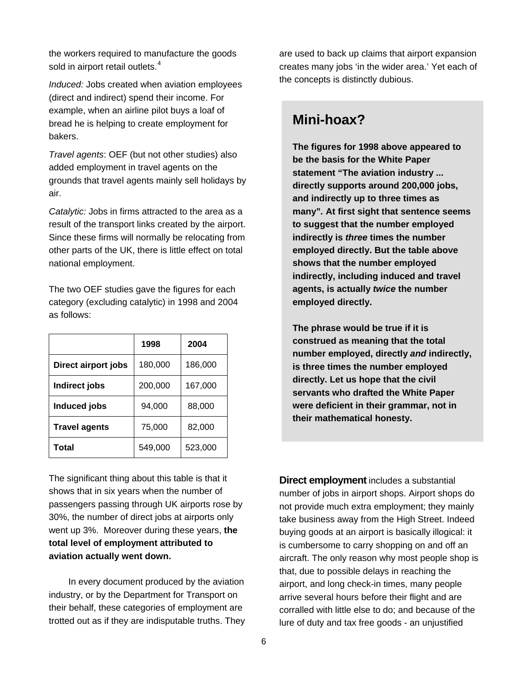the workers required to manufacture the goods sold in airport retail outlets. $4$ 

*Induced:* Jobs created when aviation employees (direct and indirect) spend their income. For example, when an airline pilot buys a loaf of bread he is helping to create employment for bakers.

*Travel agents*: OEF (but not other studies) also added employment in travel agents on the grounds that travel agents mainly sell holidays by air.

*Catalytic:* Jobs in firms attracted to the area as a result of the transport links created by the airport. Since these firms will normally be relocating from other parts of the UK, there is little effect on total national employment.

The two OEF studies gave the figures for each category (excluding catalytic) in 1998 and 2004 as follows:

|                      | 1998    | 2004    |
|----------------------|---------|---------|
| Direct airport jobs  | 180,000 | 186,000 |
| Indirect jobs        | 200,000 | 167,000 |
| Induced jobs         | 94,000  | 88,000  |
| <b>Travel agents</b> | 75,000  | 82,000  |
| Total                | 549,000 | 523,000 |

The significant thing about this table is that it shows that in six years when the number of passengers passing through UK airports rose by 30%, the number of direct jobs at airports only went up 3%. Moreover during these years, **the total level of employment attributed to aviation actually went down.** 

In every document produced by the aviation industry, or by the Department for Transport on their behalf, these categories of employment are trotted out as if they are indisputable truths. They

are used to back up claims that airport expansion creates many jobs 'in the wider area.' Yet each of the concepts is distinctly dubious.

### **Mini-hoax?**

**The figures for 1998 above appeared to be the basis for the White Paper statement "The aviation industry ... directly supports around 200,000 jobs, and indirectly up to three times as many"***.* **At first sight that sentence seems to suggest that the number employed indirectly is** *three* **times the number employed directly. But the table above shows that the number employed indirectly, including induced and travel agents, is actually** *twice* **the number employed directly.** 

**The phrase would be true if it is construed as meaning that the total number employed, directly** *and* **indirectly, is three times the number employed directly. Let us hope that the civil servants who drafted the White Paper were deficient in their grammar, not in their mathematical honesty.** 

**Direct employment** includes a substantial number of jobs in airport shops. Airport shops do not provide much extra employment; they mainly take business away from the High Street. Indeed buying goods at an airport is basically illogical: it is cumbersome to carry shopping on and off an aircraft. The only reason why most people shop is that, due to possible delays in reaching the airport, and long check-in times, many people arrive several hours before their flight and are corralled with little else to do; and because of the lure of duty and tax free goods - an unjustified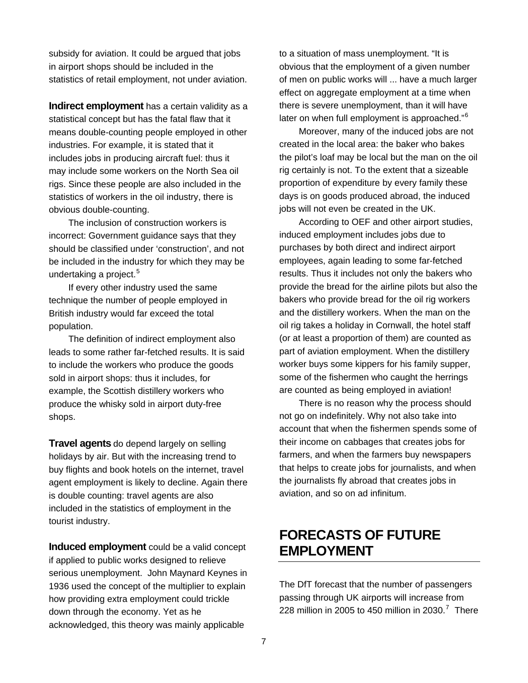<span id="page-6-0"></span>subsidy for aviation. It could be argued that jobs in airport shops should be included in the statistics of retail employment, not under aviation.

**Indirect employment** has a certain validity as a statistical concept but has the fatal flaw that it means double-counting people employed in other industries. For example, it is stated that it includes jobs in producing aircraft fuel: thus it may include some workers on the North Sea oil rigs. Since these people are also included in the statistics of workers in the oil industry, there is obvious double-counting.

The inclusion of construction workers is incorrect: Government guidance says that they should be classified under 'construction', and not be included in the industry for which they may be undertaking a project.<sup>[5](#page-22-2)</sup>

If every other industry used the same technique the number of people employed in British industry would far exceed the total population.

The definition of indirect employment also leads to some rather far-fetched results. It is said to include the workers who produce the goods sold in airport shops: thus it includes, for example, the Scottish distillery workers who produce the whisky sold in airport duty-free shops.

**Travel agents** do depend largely on selling holidays by air. But with the increasing trend to buy flights and book hotels on the internet, travel agent employment is likely to decline. Again there is double counting: travel agents are also included in the statistics of employment in the tourist industry.

**Induced employment** could be a valid concept if applied to public works designed to relieve serious unemployment. John Maynard Keynes in 1936 used the concept of the multiplier to explain how providing extra employment could trickle down through the economy. Yet as he acknowledged, this theory was mainly applicable

to a situation of mass unemployment. "It is obvious that the employment of a given number of men on public works will ... have a much larger effect on aggregate employment at a time when there is severe unemployment, than it will have later on when full employment is approached."<sup>[6](#page-22-2)</sup>

Moreover, many of the induced jobs are not created in the local area: the baker who bakes the pilot's loaf may be local but the man on the oil rig certainly is not. To the extent that a sizeable proportion of expenditure by every family these days is on goods produced abroad, the induced jobs will not even be created in the UK.

According to OEF and other airport studies, induced employment includes jobs due to purchases by both direct and indirect airport employees, again leading to some far-fetched results. Thus it includes not only the bakers who provide the bread for the airline pilots but also the bakers who provide bread for the oil rig workers and the distillery workers. When the man on the oil rig takes a holiday in Cornwall, the hotel staff (or at least a proportion of them) are counted as part of aviation employment. When the distillery worker buys some kippers for his family supper, some of the fishermen who caught the herrings are counted as being employed in aviation!

There is no reason why the process should not go on indefinitely. Why not also take into account that when the fishermen spends some of their income on cabbages that creates jobs for farmers, and when the farmers buy newspapers that helps to create jobs for journalists, and when the journalists fly abroad that creates jobs in aviation, and so on ad infinitum.

### **FORECASTS OF FUTURE EMPLOYMENT**

The DfT forecast that the number of passengers passing through UK airports will increase from 228 million in 2005 to 450 million in 2030.<sup>[7](#page-22-2)</sup> There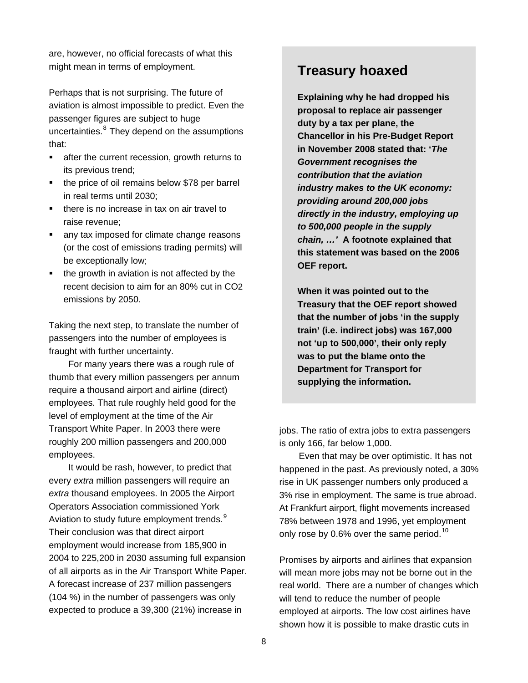are, however, no official forecasts of what this might mean in terms of employment. **Treasury hoaxed** 

Perhaps that is not surprising. The future of aviation is almost impossible to predict. Even the passenger figures are subject to huge uncertainties.<sup>[8](#page-22-2)</sup> They depend on the assumptions that:

- **EXECUTE:** after the current recession, growth returns to its previous trend;
- the price of oil remains below \$78 per barrel in real terms until 2030;
- there is no increase in tax on air travel to raise revenue;
- any tax imposed for climate change reasons (or the cost of emissions trading permits) will be exceptionally low;
- the growth in aviation is not affected by the recent decision to aim for an 80% cut in CO2 emissions by 2050.

Taking the next step, to translate the number of passengers into the number of employees is fraught with further uncertainty.

For many years there was a rough rule of thumb that every million passengers per annum require a thousand airport and airline (direct) employees. That rule roughly held good for the level of employment at the time of the Air Transport White Paper. In 2003 there were roughly 200 million passengers and 200,000 employees.

It would be rash, however, to predict that every *extra* million passengers will require an *extra* thousand employees. In 2005 the Airport Operators Association commissioned York Aviation to study future employment trends.<sup>[9](#page-22-2)</sup> Their conclusion was that direct airport employment would increase from 185,900 in 2004 to 225,200 in 2030 assuming full expansion of all airports as in the Air Transport White Paper. A forecast increase of 237 million passengers (104 %) in the number of passengers was only expected to produce a 39,300 (21%) increase in

**Explaining why he had dropped his proposal to replace air passenger duty by a tax per plane, the Chancellor in his Pre-Budget Report in November 2008 stated that: '***The Government recognises the contribution that the aviation industry makes to the UK economy: providing around 200,000 jobs directly in the industry, employing up to 500,000 people in the supply chain, …'* **A footnote explained that this statement was based on the 2006 OEF report.** 

**When it was pointed out to the Treasury that the OEF report showed that the number of jobs 'in the supply train' (i.e. indirect jobs) was 167,000 not 'up to 500,000', their only reply was to put the blame onto the Department for Transport for supplying the information.** 

jobs. The ratio of extra jobs to extra passengers is only 166, far below 1,000.

Even that may be over optimistic. It has not happened in the past. As previously noted, a 30% rise in UK passenger numbers only produced a 3% rise in employment. The same is true abroad. At Frankfurt airport, flight movements increased 78% between 1978 and 1996, yet employment only rose by 0.6% over the same period.<sup>[10](#page-22-2)</sup>

Promises by airports and airlines that expansion will mean more jobs may not be borne out in the real world. There are a number of changes which will tend to reduce the number of people employed at airports. The low cost airlines have shown how it is possible to make drastic cuts in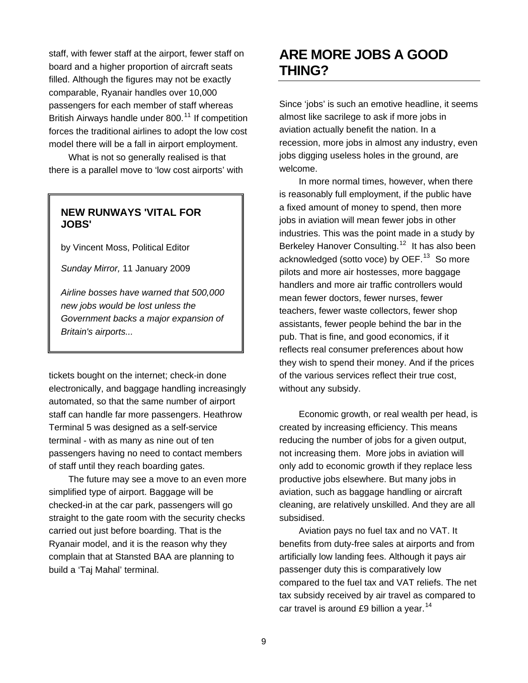<span id="page-8-0"></span>staff, with fewer staff at the airport, fewer staff on board and a higher proportion of aircraft seats filled. Although the figures may not be exactly comparable, Ryanair handles over 10,000 passengers for each member of staff whereas British Airways handle under 800.<sup>[11](#page-22-2)</sup> If competition forces the traditional airlines to adopt the low cost model there will be a fall in airport employment.

What is not so generally realised is that there is a parallel move to 'low cost airports' with

### **NEW RUNWAYS 'VITAL FOR JOBS'**

by Vincent Moss, Political Editor

*Sunday Mirror,* 11 January 2009

*Airline bosses have warned that 500,000 new jobs would be lost unless the Government backs a major expansion of Britain's airports...* 

tickets bought on the internet; check-in done electronically, and baggage handling increasingly automated, so that the same number of airport staff can handle far more passengers. Heathrow Terminal 5 was designed as a self-service terminal - with as many as nine out of ten passengers having no need to contact members of staff until they reach boarding gates.

The future may see a move to an even more simplified type of airport. Baggage will be checked-in at the car park, passengers will go straight to the gate room with the security checks carried out just before boarding. That is the Ryanair model, and it is the reason why they complain that at Stansted BAA are planning to build a 'Taj Mahal' terminal.

### **ARE MORE JOBS A GOOD THING?**

Since 'jobs' is such an emotive headline, it seems almost like sacrilege to ask if more jobs in aviation actually benefit the nation. In a recession, more jobs in almost any industry, even jobs digging useless holes in the ground, are welcome.

In more normal times, however, when there is reasonably full employment, if the public have a fixed amount of money to spend, then more jobs in aviation will mean fewer jobs in other industries. This was the point made in a study by Berkeley Hanover Consulting.<sup>[12](#page-22-2)</sup> It has also been acknowledged (sotto voce) by OEF.<sup>[13](#page-22-2)</sup> So more pilots and more air hostesses, more baggage handlers and more air traffic controllers would mean fewer doctors, fewer nurses, fewer teachers, fewer waste collectors, fewer shop assistants, fewer people behind the bar in the pub. That is fine, and good economics, if it reflects real consumer preferences about how they wish to spend their money. And if the prices of the various services reflect their true cost, without any subsidy.

Economic growth, or real wealth per head, is created by increasing efficiency. This means reducing the number of jobs for a given output, not increasing them. More jobs in aviation will only add to economic growth if they replace less productive jobs elsewhere. But many jobs in aviation, such as baggage handling or aircraft cleaning, are relatively unskilled. And they are all subsidised.

Aviation pays no fuel tax and no VAT. It benefits from duty-free sales at airports and from artificially low landing fees. Although it pays air passenger duty this is comparatively low compared to the fuel tax and VAT reliefs. The net tax subsidy received by air travel as compared to car travel is around £9 billion a year.<sup>[14](#page-22-2)</sup>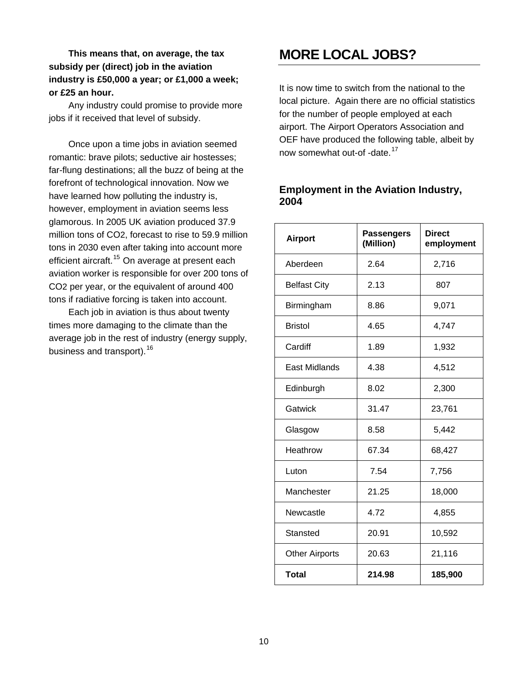<span id="page-9-0"></span>**This means that, on average, the tax subsidy per (direct) job in the aviation industry is £50,000 a year; or £1,000 a week; or £25 an hour.** 

Any industry could promise to provide more jobs if it received that level of subsidy.

Once upon a time jobs in aviation seemed romantic: brave pilots; seductive air hostesses; far-flung destinations; all the buzz of being at the forefront of technological innovation. Now we have learned how polluting the industry is, however, employment in aviation seems less glamorous. In 2005 UK aviation produced 37.9 million tons of CO2, forecast to rise to 59.9 million tons in 2030 even after taking into account more efficient aircraft.<sup>[15](#page-22-2)</sup> On average at present each aviation worker is responsible for over 200 tons of CO2 per year, or the equivalent of around 400 tons if radiative forcing is taken into account.

Each job in aviation is thus about twenty times more damaging to the climate than the average job in the rest of industry (energy supply, business and transport).<sup>[16](#page-22-2)</sup>

### **MORE LOCAL JOBS?**

It is now time to switch from the national to the local picture. Again there are no official statistics for the number of people employed at each airport. The Airport Operators Association and OEF have produced the following table, albeit by now somewhat out-of -date.<sup>[17](#page-22-2)</sup>

#### **Employment in the Aviation Industry, 2004**

| <b>Airport</b>        | <b>Passengers</b><br>(Million) | <b>Direct</b><br>employment |
|-----------------------|--------------------------------|-----------------------------|
| Aberdeen              | 2.64                           | 2,716                       |
| <b>Belfast City</b>   | 2.13                           | 807                         |
| Birmingham            | 8.86                           | 9,071                       |
| <b>Bristol</b>        | 4.65                           | 4,747                       |
| Cardiff               | 1.89                           | 1,932                       |
| East Midlands         | 4.38                           | 4,512                       |
| Edinburgh             | 8.02                           | 2,300                       |
| Gatwick               | 31.47                          | 23,761                      |
| Glasgow               | 8.58                           | 5,442                       |
| Heathrow              | 67.34                          | 68,427                      |
| Luton                 | 7.54                           | 7,756                       |
| Manchester            | 21.25                          | 18,000                      |
| Newcastle             | 4.72                           | 4,855                       |
| Stansted              | 20.91                          | 10,592                      |
| <b>Other Airports</b> | 20.63                          | 21,116                      |
| <b>Total</b>          | 214.98                         | 185,900                     |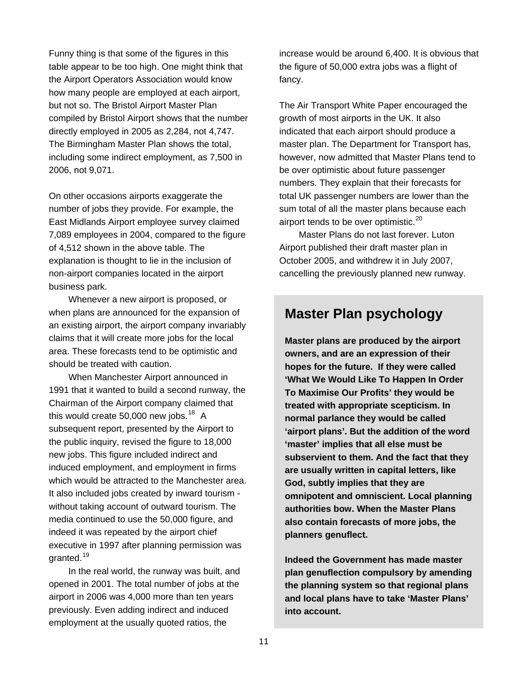Funny thing is that some of the figures in this table appear to be too high. One might think that the Airport Operators Association would know how many people are employed at each airport, but not so. The Bristol Airport Master Plan compiled by Bristol Airport shows that the number directly employed in 2005 as 2,284, not 4,747. The Birmingham Master Plan shows the total, including some indirect employment, as 7,500 in 2006, not 9,071.

On other occasions airports exaggerate the number of jobs they provide. For example, the East Midlands Airport employee survey claimed 7,089 employees in 2004, compared to the figure of 4,512 shown in the above table. The explanation is thought to lie in the inclusion of non-airport companies located in the airport business park.

Whenever a new airport is proposed, or when plans are announced for the expansion of an existing airport, the airport company invariably claims that it will create more jobs for the local area. These forecasts tend to be optimistic and should be treated with caution.

When Manchester Airport announced in 1991 that it wanted to build a second runway, the Chairman of the Airport company claimed that this would create 50,000 new jobs. $18$  A subsequent report, presented by the Airport to the public inquiry, revised the figure to 18,000 new jobs. This figure included indirect and induced employment, and employment in firms which would be attracted to the Manchester area. It also included jobs created by inward tourism without taking account of outward tourism. The media continued to use the 50,000 figure, and indeed it was repeated by the airport chief executive in 1997 after planning permission was granted.<sup>[19](#page-22-2)</sup>

In the real world, the runway was built, and opened in 2001. The total number of jobs at the airport in 2006 was 4,000 more than ten years previously. Even adding indirect and induced employment at the usually quoted ratios, the

increase would be around 6,400. It is obvious that the figure of 50,000 extra jobs was a flight of fancy.

The Air Transport White Paper encouraged the growth of most airports in the UK. It also indicated that each airport should produce a master plan. The Department for Transport has, however, now admitted that Master Plans tend to be over optimistic about future passenger numbers. They explain that their forecasts for total UK passenger numbers are lower than the sum total of all the master plans because each airport tends to be over optimistic. $20$ 

Master Plans do not last forever. Luton Airport published their draft master plan in October 2005, and withdrew it in July 2007, cancelling the previously planned new runway.

### **Master Plan psychology**

**Master plans are produced by the airport owners, and are an expression of their hopes for the future. If they were called 'What We Would Like To Happen In Order To Maximise Our Profits' they would be treated with appropriate scepticism. In normal parlance they would be called 'airport plans'. But the addition of the word 'master' implies that all else must be subservient to them. And the fact that they are usually written in capital letters, like God, subtly implies that they are omnipotent and omniscient. Local planning authorities bow. When the Master Plans also contain forecasts of more jobs, the planners genuflect.** 

**Indeed the Government has made master plan genuflection compulsory by amending the planning system so that regional plans and local plans have to take 'Master Plans' into account.**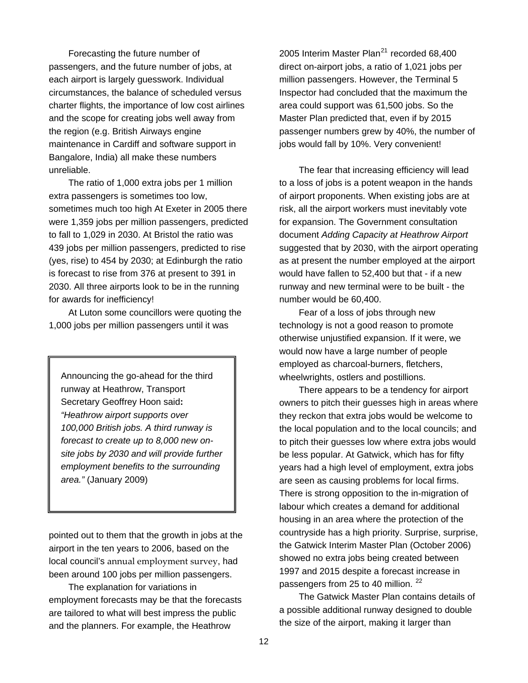Forecasting the future number of passengers, and the future number of jobs, at each airport is largely guesswork. Individual circumstances, the balance of scheduled versus charter flights, the importance of low cost airlines and the scope for creating jobs well away from the region (e.g. British Airways engine maintenance in Cardiff and software support in Bangalore, India) all make these numbers unreliable.

The ratio of 1,000 extra jobs per 1 million extra passengers is sometimes too low, sometimes much too high At Exeter in 2005 there were 1,359 jobs per million passengers, predicted to fall to 1,029 in 2030. At Bristol the ratio was 439 jobs per million passengers, predicted to rise (yes, rise) to 454 by 2030; at Edinburgh the ratio is forecast to rise from 376 at present to 391 in 2030. All three airports look to be in the running for awards for inefficiency!

At Luton some councillors were quoting the 1,000 jobs per million passengers until it was

Announcing the go-ahead for the third  $\|\cdot\|$  wheelwrights, ostlers and postillions. runway at Heathrow, Transport Secretary Geoffrey Hoon said**:**  *"Heathrow airport supports over 100,000 British jobs. A third runway is forecast to create up to 8,000 new onsite jobs by 2030 and will provide further employment benefits to the surrounding area."* (January 2009)

pointed out to them that the growth in jobs at the airport in the ten years to 2006, based on the local council's annual [employment](http://www.ladacan.org/html/references.html#AMRs) survey, had been around 100 jobs per million passengers.

The explanation for variations in employment forecasts may be that the forecasts are tailored to what will best impress the public and the planners. For example, the Heathrow

2005 Interim Master Plan<sup>[21](#page-22-2)</sup> recorded 68,400 direct on-airport jobs, a ratio of 1,021 jobs per million passengers. However, the Terminal 5 Inspector had concluded that the maximum the area could support was 61,500 jobs. So the Master Plan predicted that, even if by 2015 passenger numbers grew by 40%, the number of jobs would fall by 10%. Very convenient!

The fear that increasing efficiency will lead to a loss of jobs is a potent weapon in the hands of airport proponents. When existing jobs are at risk, all the airport workers must inevitably vote for expansion. The Government consultation document *Adding Capacity at Heathrow Airport* suggested that by 2030, with the airport operating as at present the number employed at the airport would have fallen to 52,400 but that - if a new runway and new terminal were to be built - the number would be 60,400.

Fear of a loss of jobs through new technology is not a good reason to promote otherwise unjustified expansion. If it were, we would now have a large number of people employed as charcoal-burners, fletchers,

There appears to be a tendency for airport owners to pitch their guesses high in areas where they reckon that extra jobs would be welcome to the local population and to the local councils; and to pitch their guesses low where extra jobs would be less popular. At Gatwick, which has for fifty years had a high level of employment, extra jobs are seen as causing problems for local firms. There is strong opposition to the in-migration of labour which creates a demand for additional housing in an area where the protection of the countryside has a high priority. Surprise, surprise, the Gatwick Interim Master Plan (October 2006) showed no extra jobs being created between 1997 and 2015 despite a forecast increase in passengers from 25 to 40 million.<sup>[22](#page-22-2)</sup>

The Gatwick Master Plan contains details of a possible additional runway designed to double the size of the airport, making it larger than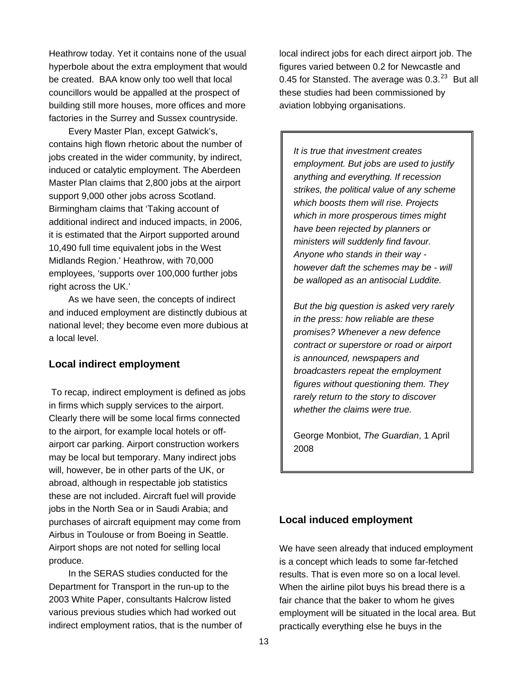Heathrow today. Yet it contains none of the usual hyperbole about the extra employment that would be created. BAA know only too well that local councillors would be appalled at the prospect of building still more houses, more offices and more factories in the Surrey and Sussex countryside.

Every Master Plan, except Gatwick's, contains high flown rhetoric about the number of jobs created in the wider community, by indirect, induced or catalytic employment. The Aberdeen Master Plan claims that 2,800 jobs at the airport support 9,000 other jobs across Scotland. Birmingham claims that 'Taking account of additional indirect and induced impacts, in 2006, it is estimated that the Airport supported around 10,490 full time equivalent jobs in the West Midlands Region.' Heathrow, with 70,000 employees, 'supports over 100,000 further jobs right across the UK.'

As we have seen, the concepts of indirect and induced employment are distinctly dubious at national level; they become even more dubious at a local level.

#### **Local indirect employment**

To recap, indirect employment is defined as jobs in firms which supply services to the airport. Clearly there will be some local firms connected to the airport, for example local hotels or offairport car parking. Airport construction workers may be local but temporary. Many indirect jobs will, however, be in other parts of the UK, or abroad, although in respectable job statistics these are not included. Aircraft fuel will provide jobs in the North Sea or in Saudi Arabia; and purchases of aircraft equipment may come from Airbus in Toulouse or from Boeing in Seattle. Airport shops are not noted for selling local produce.

In the SERAS studies conducted for the Department for Transport in the run-up to the 2003 White Paper, consultants Halcrow listed various previous studies which had worked out indirect employment ratios, that is the number of local indirect jobs for each direct airport job. The figures varied between 0.2 for Newcastle and 0.45 for Stansted. The average was  $0.3.^{23}$  $0.3.^{23}$  $0.3.^{23}$  But all these studies had been commissioned by aviation lobbying organisations.

*It is true that investment creates employment. But jobs are used to justify anything and everything. If recession strikes, the political value of any scheme which boosts them will rise. Projects which in more prosperous times might have been rejected by planners or ministers will suddenly find favour. Anyone who stands in their way however daft the schemes may be - will be walloped as an antisocial Luddite.* 

*But the big question is asked very rarely in the press: how reliable are these promises? Whenever a new defence contract or superstore or road or airport is announced, newspapers and broadcasters repeat the employment figures without questioning them. They rarely return to the story to discover whether the claims were true.* 

George Monbiot, *The Guardian*, 1 April 2008

#### **Local induced employment**

We have seen already that induced employment is a concept which leads to some far-fetched results. That is even more so on a local level. When the airline pilot buys his bread there is a fair chance that the baker to whom he gives employment will be situated in the local area. But practically everything else he buys in the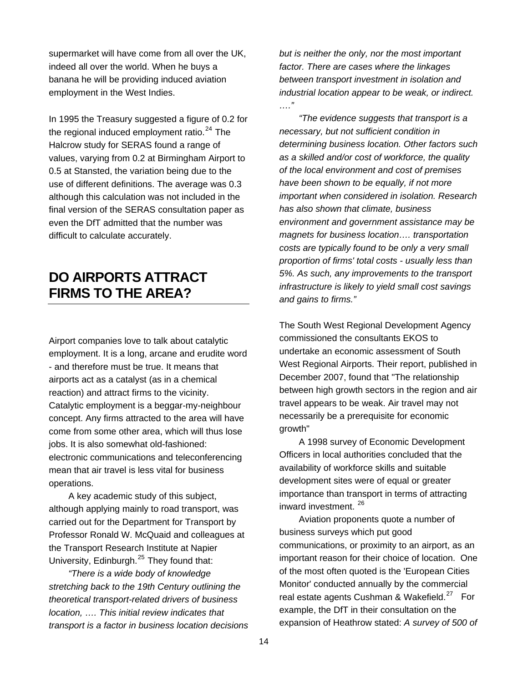<span id="page-13-0"></span>supermarket will have come from all over the UK, indeed all over the world. When he buys a banana he will be providing induced aviation employment in the West Indies.

In 1995 the Treasury suggested a figure of 0.2 for the regional induced employment ratio. $24$  The Halcrow study for SERAS found a range of values, varying from 0.2 at Birmingham Airport to 0.5 at Stansted, the variation being due to the use of different definitions. The average was 0.3 although this calculation was not included in the final version of the SERAS consultation paper as even the DfT admitted that the number was difficult to calculate accurately.

### **DO AIRPORTS ATTRACT FIRMS TO THE AREA?**

Airport companies love to talk about catalytic employment. It is a long, arcane and erudite word - and therefore must be true. It means that airports act as a catalyst (as in a chemical reaction) and attract firms to the vicinity. Catalytic employment is a beggar-my-neighbour concept. Any firms attracted to the area will have come from some other area, which will thus lose jobs. It is also somewhat old-fashioned: electronic communications and teleconferencing mean that air travel is less vital for business operations.

A key academic study of this subject, although applying mainly to road transport, was carried out for the Department for Transport by Professor Ronald W. McQuaid and colleagues at the Transport Research Institute at Napier University, Edinburgh.<sup>[25](#page-22-2)</sup> They found that:

*"There is a wide body of knowledge stretching back to the 19th Century outlining the theoretical transport-related drivers of business location, …. This initial review indicates that transport is a factor in business location decisions*  *but is neither the only, nor the most important factor. There are cases where the linkages between transport investment in isolation and industrial location appear to be weak, or indirect. …."* 

*"The evidence suggests that transport is a necessary, but not sufficient condition in determining business location. Other factors such as a skilled and/or cost of workforce, the quality of the local environment and cost of premises have been shown to be equally, if not more important when considered in isolation. Research has also shown that climate, business environment and government assistance may be magnets for business location…. transportation costs are typically found to be only a very small proportion of firms' total costs - usually less than 5%. As such, any improvements to the transport infrastructure is likely to yield small cost savings and gains to firms."* 

The South West Regional Development Agency commissioned the consultants EKOS to undertake an economic assessment of South West Regional Airports. Their report, published in December 2007, found that "The relationship between high growth sectors in the region and air travel appears to be weak. Air travel may not necessarily be a prerequisite for economic growth"

A 1998 survey of Economic Development Officers in local authorities concluded that the availability of workforce skills and suitable development sites were of equal or greater importance than transport in terms of attracting inward investment. [26](#page-22-2)

Aviation proponents quote a number of business surveys which put good communications, or proximity to an airport, as an important reason for their choice of location. One of the most often quoted is the 'European Cities Monitor' conducted annually by the commercial real estate agents Cushman & Wakefield.<sup>[27](#page-22-2)</sup> For example, the DfT in their consultation on the expansion of Heathrow stated: *A survey of 500 of*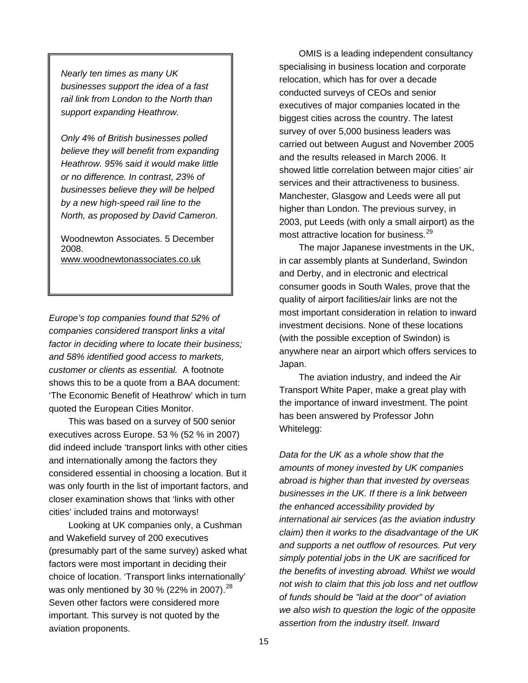*Nearly ten times as many UK businesses support the idea of a fast rail link from London to the North than support expanding Heathrow.* 

*Only 4% of British businesses polled believe they will benefit from expanding Heathrow. 95% said it would make little or no difference. In contrast, 23% of businesses believe they will be helped by a new high-speed rail line to the North, as proposed by David Cameron.* 

Woodnewton Associates. 5 December 2008. [www.woodnewtonassociates.co.uk](http://www.woodnewtonassociates.co.uk/)

*Europe's top companies found that 52% of companies considered transport links a vital factor in deciding where to locate their business; and 58% identified good access to markets, customer or clients as essential.* A footnote shows this to be a quote from a BAA document: 'The Economic Benefit of Heathrow' which in turn quoted the European Cities Monitor.

This was based on a survey of 500 senior executives across Europe. 53 % (52 % in 2007) did indeed include 'transport links with other cities and internationally among the factors they considered essential in choosing a location. But it was only fourth in the list of important factors, and closer examination shows that 'links with other cities' included trains and motorways!

Looking at UK companies only, a Cushman and Wakefield survey of 200 executives (presumably part of the same survey) asked what factors were most important in deciding their choice of location. 'Transport links internationally' was only mentioned by 30 % (22% in 2007).  $^{28}$  $^{28}$  $^{28}$ Seven other factors were considered more important. This survey is not quoted by the aviation proponents.

OMIS is a leading independent consultancy specialising in business location and corporate relocation, which has for over a decade conducted surveys of CEOs and senior executives of major companies located in the biggest cities across the country. The latest survey of over 5,000 business leaders was carried out between August and November 2005 and the results released in March 2006. It showed little correlation between major cities' air services and their attractiveness to business. Manchester, Glasgow and Leeds were all put higher than London. The previous survey, in 2003, put Leeds (with only a small airport) as the most attractive location for business.<sup>[29](#page-22-2)</sup>

The major Japanese investments in the UK, in car assembly plants at Sunderland, Swindon and Derby, and in electronic and electrical consumer goods in South Wales, prove that the quality of airport facilities/air links are not the most important consideration in relation to inward investment decisions. None of these locations (with the possible exception of Swindon) is anywhere near an airport which offers services to Japan.

The aviation industry, and indeed the Air Transport White Paper, make a great play with the importance of inward investment. The point has been answered by Professor John Whitelegg:

*Data for the UK as a whole show that the amounts of money invested by UK companies abroad is higher than that invested by overseas businesses in the UK. If there is a link between the enhanced accessibility provided by international air services (as the aviation industry claim) then it works to the disadvantage of the UK and supports a net outflow of resources. Put very simply potential jobs in the UK are sacrificed for the benefits of investing abroad. Whilst we would not wish to claim that this job loss and net outflow of funds should be "laid at the door" of aviation we also wish to question the logic of the opposite assertion from the industry itself. Inward*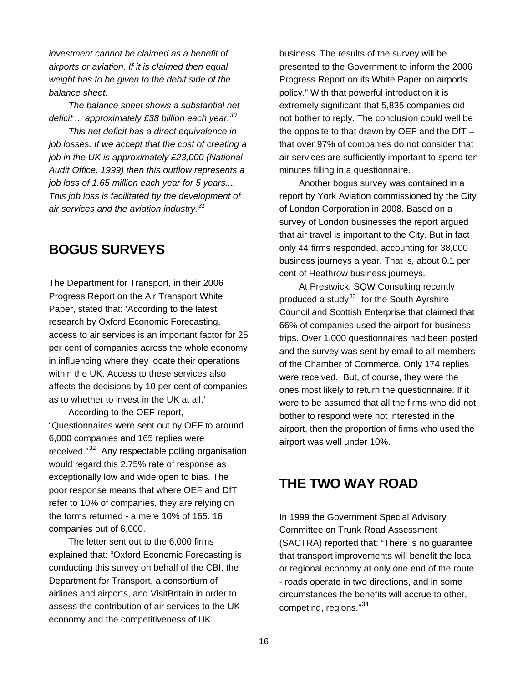<span id="page-15-0"></span>*investment cannot be claimed as a benefit of airports or aviation. If it is claimed then equal weight has to be given to the debit side of the balance sheet.* 

*The balance sheet shows a substantial net deficit ... approximately £38 billion each year.[30](#page-22-2)* 

*This net deficit has a direct equivalence in job losses. If we accept that the cost of creating a job in the UK is approximately £23,000 (National Audit Office, 1999) then this outflow represents a job loss of 1.65 million each year for 5 years.... This job loss is facilitated by the development of air services and the aviation industry.[31](#page-22-2)*

### **BOGUS SURVEYS**

The Department for Transport, in their 2006 Progress Report on the Air Transport White Paper, stated that: 'According to the latest research by Oxford Economic Forecasting, access to air services is an important factor for 25 per cent of companies across the whole economy in influencing where they locate their operations within the UK. Access to these services also affects the decisions by 10 per cent of companies as to whether to invest in the UK at all.'

According to the OEF report, "Questionnaires were sent out by OEF to around 6,000 companies and 165 replies were received."[32](#page-22-2) Any respectable polling organisation would regard this 2.75% rate of response as exceptionally low and wide open to bias. The poor response means that where OEF and DfT refer to 10% of companies, they are relying on the forms returned - a mere 10% of 165. 16 companies out of 6,000.

The letter sent out to the 6,000 firms explained that: "Oxford Economic Forecasting is conducting this survey on behalf of the CBI, the Department for Transport, a consortium of airlines and airports, and VisitBritain in order to assess the contribution of air services to the UK economy and the competitiveness of UK

business. The results of the survey will be presented to the Government to inform the 2006 Progress Report on its White Paper on airports policy." With that powerful introduction it is extremely significant that 5,835 companies did not bother to reply. The conclusion could well be the opposite to that drawn by OEF and the DfT – that over 97% of companies do not consider that air services are sufficiently important to spend ten minutes filling in a questionnaire.

Another bogus survey was contained in a report by York Aviation commissioned by the City of London Corporation in 2008. Based on a survey of London businesses the report argued that air travel is important to the City. But in fact only 44 firms responded, accounting for 38,000 business journeys a year. That is, about 0.1 per cent of Heathrow business journeys.

At Prestwick, SQW Consulting recently produced a study $33$  for the South Ayrshire Council and Scottish Enterprise that claimed that 66% of companies used the airport for business trips. Over 1,000 questionnaires had been posted and the survey was sent by email to all members of the Chamber of Commerce. Only 174 replies were received. But, of course, they were the ones most likely to return the questionnaire. If it were to be assumed that all the firms who did not bother to respond were not interested in the airport, then the proportion of firms who used the airport was well under 10%.

### **THE TWO WAY ROAD**

In 1999 the Government Special Advisory Committee on Trunk Road Assessment (SACTRA) reported that: "There is no guarantee that transport improvements will benefit the local or regional economy at only one end of the route - roads operate in two directions, and in some circumstances the be[ne](#page-22-2)fits will accrue to other, competing, regions."[34](#page-22-2)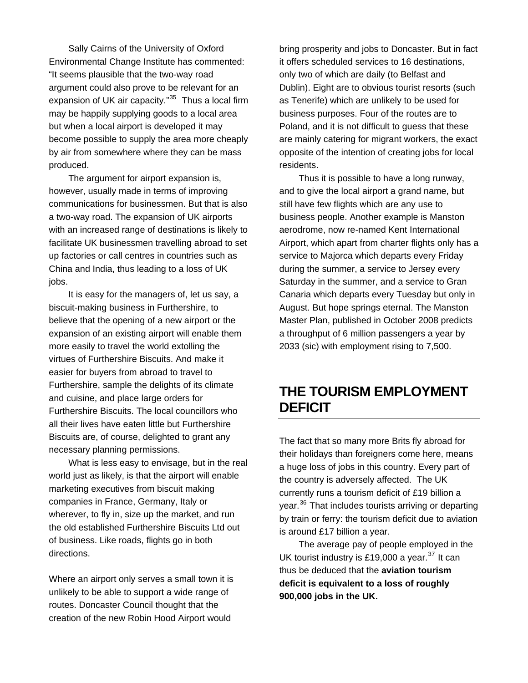<span id="page-16-0"></span>Sally Cairns of the University of Oxford Environmental Change Institute has commented: "It seems plausible that the two-way road argument could also prove to be relevant for an expansion of UK air capacity."<sup>[35](#page-22-3)</sup> Thus a local firm may be happily supplying goods to a local area but when a local airport is developed it may become possible to supply the area more cheaply by air from somewhere where they can be mass produced.

 The argument for airport expansion is, however, usually made in terms of improving communications for businessmen. But that is also a two-way road. The expansion of UK airports with an increased range of destinations is likely to facilitate UK businessmen travelling abroad to set up factories or call centres in countries such as China and India, thus leading to a loss of UK jobs.

It is easy for the managers of, let us say, a biscuit-making business in Furthershire, to believe that the opening of a new airport or the expansion of an existing airport will enable them more easily to travel the world extolling the virtues of Furthershire Biscuits. And make it easier for buyers from abroad to travel to Furthershire, sample the delights of its climate and cuisine, and place large orders for Furthershire Biscuits. The local councillors who all their lives have eaten little but Furthershire Biscuits are, of course, delighted to grant any necessary planning permissions.

What is less easy to envisage, but in the real world just as likely, is that the airport will enable marketing executives from biscuit making companies in France, Germany, Italy or wherever, to fly in, size up the market, and run the old established Furthershire Biscuits Ltd out of business. Like roads, flights go in both directions.

Where an airport only serves a small town it is unlikely to be able to support a wide range of routes. Doncaster Council thought that the creation of the new Robin Hood Airport would

bring prosperity and jobs to Doncaster. But in fact it offers scheduled services to 16 destinations, only two of which are daily (to Belfast and Dublin). Eight are to obvious tourist resorts (such as Tenerife) which are unlikely to be used for business purposes. Four of the routes are to Poland, and it is not difficult to guess that these are mainly catering for migrant workers, the exact opposite of the intention of creating jobs for local residents.

Thus it is possible to have a long runway, and to give the local airport a grand name, but still have few flights which are any use to business people. Another example is Manston aerodrome, now re-named Kent International Airport, which apart from charter flights only has a service to Majorca which departs every Friday during the summer, a service to Jersey every Saturday in the summer, and a service to Gran Canaria which departs every Tuesday but only in August. But hope springs eternal. The Manston Master Plan, published in October 2008 predicts a throughput of 6 million passengers a year by 2033 (sic) with employment rising to 7,500.

### **THE TOURISM EMPLOYMENT DEFICIT**

The fact that so many more Brits fly abroad for their holidays than foreigners come here, means a huge loss of jobs in this country. Every part of the country is adversely affected. The UK currently runs a tourism deficit of £19 billion a vear.<sup>[36](#page-22-3)</sup> That includes tourists arriving or departing by train or ferry: the tourism deficit due to aviation is around £17 billion a year.

The average pay of people employed in the UK tourist industry is £19,000 a year.<sup>[37](#page-22-3)</sup> It can thus be deduced that the **aviation tourism deficit is equivalent to a loss of roughly 900,000 jobs in the UK.**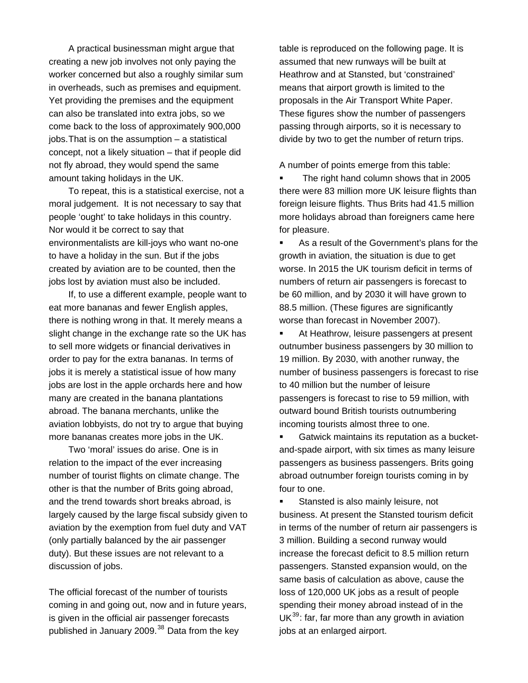A practical businessman might argue that creating a new job involves not only paying the worker concerned but also a roughly similar sum in overheads, such as premises and equipment. Yet providing the premises and the equipment can also be translated into extra jobs, so we come back to the loss of approximately 900,000 jobs. That is on the assumption – a statistical concept, not a likely situation – that if people did not fly abroad, they would spend the same amount taking holidays in the UK.

To repeat, this is a statistical exercise, not a moral judgement. It is not necessary to say that people 'ought' to take holidays in this country. Nor would it be correct to say that environmentalists are kill-joys who want no-one to have a holiday in the sun. But if the jobs created by aviation are to be counted, then the jobs lost by aviation must also be included.

If, to use a different example, people want to eat more bananas and fewer English apples, there is nothing wrong in that. It merely means a slight change in the exchange rate so the UK has to sell more widgets or financial derivatives in order to pay for the extra bananas. In terms of jobs it is merely a statistical issue of how many jobs are lost in the apple orchards here and how many are created in the banana plantations abroad. The banana merchants, unlike the aviation lobbyists, do not try to argue that buying more bananas creates more jobs in the UK.

Two 'moral' issues do arise. One is in relation to the impact of the ever increasing number of tourist flights on climate change. The other is that the number of Brits going abroad, and the trend towards short breaks abroad, is largely caused by the large fiscal subsidy given to aviation by the exemption from fuel duty and VAT (only partially balanced by the air passenger duty). But these issues are not relevant to a discussion of jobs.

The official forecast of the number of tourists coming in and going out, now and in future years, is given in the official air passenger forecasts published in January 2009.<sup>[38](#page-22-3)</sup> Data from the key

table is reproduced on the following page. It is assumed that new runways will be built at Heathrow and at Stansted, but 'constrained' means that airport growth is limited to the proposals in the Air Transport White Paper. These figures show the number of passengers passing through airports, so it is necessary to divide by two to get the number of return trips.

A number of points emerge from this table:

 The right hand column shows that in 2005 there were 83 million more UK leisure flights than foreign leisure flights. Thus Brits had 41.5 million more holidays abroad than foreigners came here for pleasure.

 As a result of the Government's plans for the growth in aviation, the situation is due to get worse. In 2015 the UK tourism deficit in terms of numbers of return air passengers is forecast to be 60 million, and by 2030 it will have grown to 88.5 million. (These figures are significantly worse than forecast in November 2007).

**At Heathrow, leisure passengers at present** outnumber business passengers by 30 million to 19 million. By 2030, with another runway, the number of business passengers is forecast to rise to 40 million but the number of leisure passengers is forecast to rise to 59 million, with outward bound British tourists outnumbering incoming tourists almost three to one.

**Gatwick maintains its reputation as a bucket**and-spade airport, with six times as many leisure passengers as business passengers. Brits going abroad outnumber foreign tourists coming in by four to one.

 Stansted is also mainly leisure, not business. At present the Stansted tourism deficit in terms of the number of return air passengers is 3 million. Building a second runway would increase the forecast deficit to 8.5 million return passengers. Stansted expansion would, on the same basis of calculation as above, cause the loss of 120,000 UK jobs as a result of people spending their money abroad instead of in the  $UK<sup>39</sup>$  $UK<sup>39</sup>$  $UK<sup>39</sup>$ : far, far more than any growth in aviation jobs at an enlarged airport.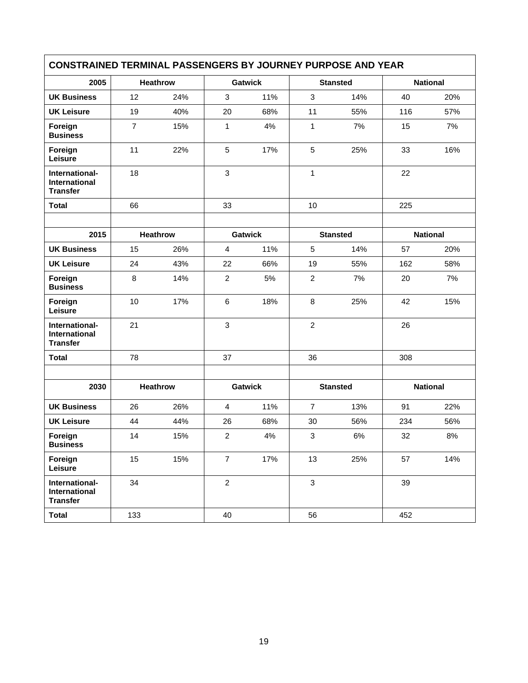| <b>CONSTRAINED TERMINAL PASSENGERS BY JOURNEY PURPOSE AND YEAR</b> |                |                 |                |                |                 |                 |                 |                 |
|--------------------------------------------------------------------|----------------|-----------------|----------------|----------------|-----------------|-----------------|-----------------|-----------------|
| 2005                                                               |                | <b>Heathrow</b> |                | <b>Gatwick</b> |                 | <b>Stansted</b> |                 | <b>National</b> |
| <b>UK Business</b>                                                 | 12             | 24%             | 3              | 11%            | 3               | 14%             | 40              | 20%             |
| <b>UK Leisure</b>                                                  | 19             | 40%             | 20             | 68%            | 11              | 55%             | 116             | 57%             |
| Foreign<br><b>Business</b>                                         | $\overline{7}$ | 15%             | $\mathbf{1}$   | 4%             | 1               | 7%              | 15              | 7%              |
| Foreign<br>Leisure                                                 | 11             | 22%             | $\sqrt{5}$     | 17%            | $\sqrt{5}$      | 25%             | 33              | 16%             |
| International-<br><b>International</b><br><b>Transfer</b>          | 18             |                 | 3              |                | $\mathbf{1}$    |                 | 22              |                 |
| <b>Total</b>                                                       | 66             |                 | 33             |                | 10              |                 | 225             |                 |
|                                                                    |                |                 |                |                |                 |                 |                 |                 |
| 2015                                                               |                | <b>Heathrow</b> | <b>Gatwick</b> |                | <b>Stansted</b> |                 | <b>National</b> |                 |
| <b>UK Business</b>                                                 | 15             | 26%             | $\overline{4}$ | 11%            | 5               | 14%             | 57              | 20%             |
| <b>UK Leisure</b>                                                  | 24             | 43%             | 22             | 66%            | 19              | 55%             | 162             | 58%             |
| Foreign<br><b>Business</b>                                         | 8              | 14%             | $\overline{2}$ | 5%             | $\overline{c}$  | 7%              | 20              | 7%              |
| Foreign<br>Leisure                                                 | 10             | 17%             | 6              | 18%            | $\, 8$          | 25%             | 42              | 15%             |
| International-<br><b>International</b><br><b>Transfer</b>          | 21             |                 | 3              |                | 2               |                 | 26              |                 |
| <b>Total</b>                                                       | 78             |                 | 37             |                | 36              |                 | 308             |                 |
|                                                                    |                |                 |                |                |                 |                 |                 |                 |
| 2030                                                               |                | Heathrow        |                | <b>Gatwick</b> |                 | <b>Stansted</b> |                 | <b>National</b> |
| <b>UK Business</b>                                                 | 26             | 26%             | $\overline{4}$ | 11%            | $\overline{7}$  | 13%             | 91              | 22%             |
| <b>UK Leisure</b>                                                  | 44             | 44%             | 26             | 68%            | 30              | 56%             | 234             | 56%             |
| Foreign<br><b>Business</b>                                         | 14             | 15%             | $\overline{2}$ | 4%             | 3               | 6%              | 32              | 8%              |
| Foreign<br>Leisure                                                 | 15             | 15%             | $\overline{7}$ | 17%            | 13              | 25%             | 57              | 14%             |
| International-<br>International<br><b>Transfer</b>                 | 34             |                 | $\overline{2}$ |                | $\mathfrak{Z}$  |                 | 39              |                 |
| <b>Total</b>                                                       | 133            |                 | 40             |                | 56              |                 | 452             |                 |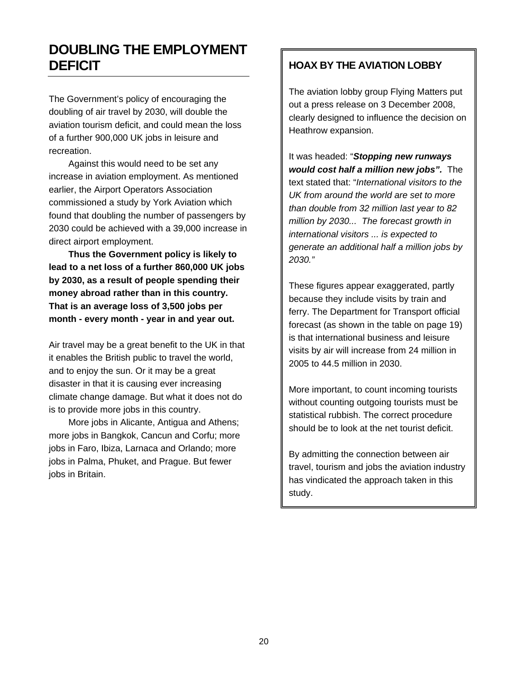## <span id="page-19-0"></span>**DOUBLING THE EMPLOYMENT DEFICIT SECOND SECOND SECOND SERVICE SECOND SERVICE SERVIATION LOBBY**

The Government's policy of encouraging the doubling of air travel by 2030, will double the aviation tourism deficit, and could mean the loss of a further 900,000 UK jobs in leisure and recreation.

Against this would need to be set any increase in aviation employment. As mentioned earlier, the Airport Operators Association commissioned a study by York Aviation which found that doubling the number of passengers by 2030 could be achieved with a 39,000 increase in direct airport employment.

**Thus the Government policy is likely to lead to a net loss of a further 860,000 UK jobs by 2030, as a result of people spending their money abroad rather than in this country. That is an average loss of 3,500 jobs per month - every month - year in and year out.** 

Air travel may be a great benefit to the UK in that it enables the British public to travel the world, and to enjoy the sun. Or it may be a great disaster in that it is causing ever increasing climate change damage. But what it does not do is to provide more jobs in this country.

More jobs in Alicante, Antigua and Athens; more jobs in Bangkok, Cancun and Corfu; more jobs in Faro, Ibiza, Larnaca and Orlando; more jobs in Palma, Phuket, and Prague. But fewer jobs in Britain.

The aviation lobby group Flying Matters put out a press release on 3 December 2008, clearly designed to influence the decision on Heathrow expansion.

It was headed: "*Stopping new runways would cost half a million new jobs".* The text stated that: "*International visitors to the UK from around the world are set to more than double from 32 million last year to 82 million by 2030... The forecast growth in international visitors ... is expected to generate an additional half a million jobs by 2030."* 

These figures appear exaggerated, partly because they include visits by train and ferry. The Department for Transport official forecast (as shown in the table on page 19) is that international business and leisure visits by air will increase from 24 million in 2005 to 44.5 million in 2030.

More important, to count incoming tourists without counting outgoing tourists must be statistical rubbish. The correct procedure should be to look at the net tourist deficit.

By admitting the connection between air travel, tourism and jobs the aviation industry has vindicated the approach taken in this study.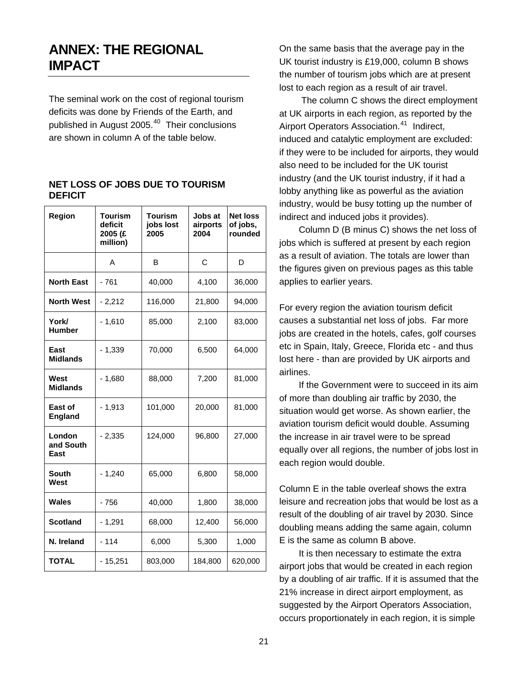### <span id="page-20-0"></span>**ANNEX: THE REGIONAL IMPACT**

The seminal work on the cost of regional tourism deficits was done by Friends of the Earth, and published in August 2005.<sup>[40](#page-22-4)</sup> Their conclusions are shown in column A of the table below.

| Region                      | Tourism<br>deficit<br>2005 (£<br>million) | <b>Tourism</b><br>jobs lost<br>2005 | Jobs at<br>airports<br>2004 | <b>Net loss</b><br>of jobs,<br>rounded |
|-----------------------------|-------------------------------------------|-------------------------------------|-----------------------------|----------------------------------------|
|                             | A                                         | в                                   | C                           | D                                      |
| <b>North East</b>           | $-761$                                    | 40,000                              | 4,100                       | 36,000                                 |
| <b>North West</b>           | $-2,212$                                  | 116,000                             | 21,800                      | 94,000                                 |
| York/<br><b>Humber</b>      | $-1,610$                                  | 85,000                              | 2,100                       | 83,000                                 |
| East<br><b>Midlands</b>     | $-1,339$                                  | 70,000                              | 6,500                       | 64,000                                 |
| West<br><b>Midlands</b>     | $-1,680$                                  | 88,000                              | 7,200                       | 81,000                                 |
| East of<br><b>England</b>   | $-1,913$                                  | 101,000                             | 20,000                      | 81,000                                 |
| London<br>and South<br>East | $-2,335$                                  | 124,000                             | 96,800                      | 27,000                                 |
| <b>South</b><br>West        | $-1,240$                                  | 65,000                              | 6,800                       | 58,000                                 |
| <b>Wales</b>                | $-756$                                    | 40,000                              | 1,800                       | 38,000                                 |
| <b>Scotland</b>             | $-1,291$                                  | 68,000                              | 12,400                      | 56,000                                 |
| N. Ireland                  | - 114                                     | 6,000                               | 5,300                       | 1,000                                  |
| <b>TOTAL</b>                | $-15,251$                                 | 803,000                             | 184,800                     | 620,000                                |

#### **NET LOSS OF JOBS DUE TO TOURISM DEFICIT**

On the same basis that the average pay in the UK tourist industry is £19,000, column B shows the number of tourism jobs which are at present lost to each region as a result of air travel.

 The column C shows the direct employment at UK airports in each region, as reported by the Airport Operators Association.<sup>[41](#page-22-4)</sup> Indirect, induced and catalytic employment are excluded : if they were to be included for airports, they would also need to be included for the UK tourist industry (and the UK tourist industry, if it had a lobby anything like as powerful as the aviation industry, would be busy totting up the number of indirect and induced jobs it prov ides).

Column D (B minus C) shows the net loss of jobs which is suffered at present by each region as a result of aviation. The totals are lower than the figures given on previous pages as this table applies to earlier years.

For every region the aviation tourism deficit causes a substantial net loss of jobs. Far more jobs are created in the hotels, cafes, golf courses etc in Spain, Italy, Greece, Florida etc - and thus lost here - than are provided by UK airports and airlines.

If the Government were to succeed in its aim of more than doubling air traffic by 2030, the situation would get worse. As shown earlier, the aviation tourism deficit would double. Assuming the increase in air travel were to be spread equally over all regions, the number of jobs lost in each region would double.

Column E in the table overleaf shows the extra leisure and recreation jobs that would be lost as a result of the doubling of air travel by 2030. Since doubling means adding the same again, column E is the same as column B above.

It is then necessary to estimate the extra airport jobs that would be created in each region by a doubling of air traffic. If it is assumed that the 21% increase in direct airport employment, as suggested by the Airport Operators Association, occurs proportionately in each region, it is simple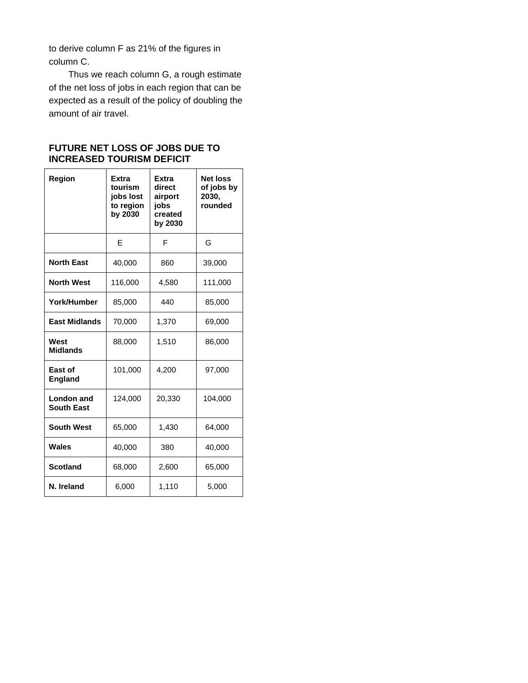to derive column F as 21% of the figures in column C.

Thus we reach column G, a rough estimate of the net loss of jobs in each region that can be expected as a result of the policy of doubling the amount of air travel.

### **FUTURE NET LOSS OF JOBS DUE TO INCREASED TOURISM DEFICIT**

| Region                          | Extra<br>tourism<br>jobs lost<br>to region<br>by 2030 | Extra<br>direct<br>airport<br>jobs<br>created<br>by 2030 | <b>Net loss</b><br>of jobs by<br>2030,<br>rounded |
|---------------------------------|-------------------------------------------------------|----------------------------------------------------------|---------------------------------------------------|
|                                 | F                                                     | F                                                        | G                                                 |
| <b>North East</b>               | 40,000                                                | 860                                                      | 39,000                                            |
| <b>North West</b>               | 116,000                                               | 4,580                                                    | 111,000                                           |
| York/Humber                     | 85,000                                                | 440                                                      | 85,000                                            |
| <b>East Midlands</b>            | 70,000                                                | 1,370                                                    | 69,000                                            |
| West<br><b>Midlands</b>         | 88,000                                                | 1,510                                                    | 86,000                                            |
| East of<br><b>England</b>       | 101,000                                               | 4,200                                                    | 97,000                                            |
| London and<br><b>South East</b> | 124,000                                               | 20,330                                                   | 104,000                                           |
| <b>South West</b>               | 65,000                                                | 1,430                                                    | 64,000                                            |
| Wales                           | 40,000                                                | 380                                                      | 40,000                                            |
| <b>Scotland</b>                 | 68,000                                                | 2,600                                                    | 65,000                                            |
| N. Ireland                      | 6,000                                                 | 1,110                                                    | 5,000                                             |